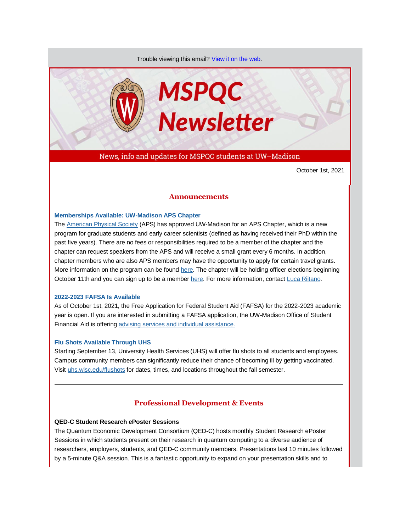Trouble viewing this email? [View it on the web.](https://app.explore.wisc.edu/e/es?s=1427524768&e=706873&elqTrackId=51e861781d16471282f1c296cabd15a9&elq=e5c097ce953c440fae633427d87ed479&elqaid=20440&elqat=1)



News, info and updates for MSPQC students at UW–Madison

October 1st, 2021

# **Announcements**

#### **[Memberships Available: UW-Madison APS Chapter](https://app.explore.wisc.edu/e/er?s=1427524768&lid=23273&elqTrackId=AF587C3809828D6525E5F6446A8960E4&elq=e5c097ce953c440fae633427d87ed479&elqaid=20440&elqat=1)**

The [American Physical Society](https://app.explore.wisc.edu/e/er?s=1427524768&lid=23274&elqTrackId=4E0B2B6045390B4FA810A5FDA58A7F66&elq=e5c097ce953c440fae633427d87ed479&elqaid=20440&elqat=1) (APS) has approved UW-Madison for an APS Chapter, which is a new program for graduate students and early career scientists (defined as having received their PhD within the past five years). There are no fees or responsibilities required to be a member of the chapter and the chapter can request speakers from the APS and will receive a small grant every 6 months. In addition, chapter members who are also APS members may have the opportunity to apply for certain travel grants. More information on the program can be found [here.](https://app.explore.wisc.edu/e/er?s=1427524768&lid=23273&elqTrackId=6FC47D82C9835BF49B6B0D368657AD35&elq=e5c097ce953c440fae633427d87ed479&elqaid=20440&elqat=1) The chapter will be holding officer elections beginning October 11th and you can sign up to be a membe[r here.](https://app.explore.wisc.edu/e/er?s=1427524768&lid=23272&elqTrackId=AB852F85A2B3C8E6ED35A8A88A5F6952&elq=e5c097ce953c440fae633427d87ed479&elqaid=20440&elqat=1) For more information, contact [Luca Riitano.](mailto:riitano@wisc.edu)

### **[2022-2023 FAFSA Is Available](https://app.explore.wisc.edu/e/er?s=1427524768&lid=23276&elqTrackId=1228191E1BC05426B8DF6C1F280F7B03&elq=e5c097ce953c440fae633427d87ed479&elqaid=20440&elqat=1)**

As of October 1st, 2021, the Free Application for Federal Student Aid (FAFSA) for the 2022-2023 academic year is open. If you are interested in submitting a FAFSA application, the UW-Madison Office of Student Financial Aid is offering [advising services and individual assistance.](https://app.explore.wisc.edu/e/er?s=1427524768&lid=23275&elqTrackId=536FA695B8A5ACA05B4655784A611120&elq=e5c097ce953c440fae633427d87ed479&elqaid=20440&elqat=1)

### **[Flu Shots Available Through UHS](https://app.explore.wisc.edu/e/er?s=1427524768&lid=4481&elqTrackId=35EFFC4B4ACB215EB806C9066FBAA83A&elq=e5c097ce953c440fae633427d87ed479&elqaid=20440&elqat=1)**

Starting September 13, University Health Services (UHS) will offer flu shots to all students and employees. Campus community members can significantly reduce their chance of becoming ill by getting vaccinated. Visi[t uhs.wisc.edu/flushots](https://app.explore.wisc.edu/e/er?s=1427524768&lid=639&elqTrackId=0BAFB0B00E5936DF625CA27C5BBB7591&elq=e5c097ce953c440fae633427d87ed479&elqaid=20440&elqat=1) for dates, times, and locations throughout the fall semester.

# **Professional Development & Events**

### **QED-C Student Research ePoster Sessions**

The Quantum Economic Development Consortium (QED-C) hosts monthly Student Research ePoster Sessions in which students present on their research in quantum computing to a diverse audience of researchers, employers, students, and QED-C community members. Presentations last 10 minutes followed by a 5-minute Q&A session. This is a fantastic opportunity to expand on your presentation skills and to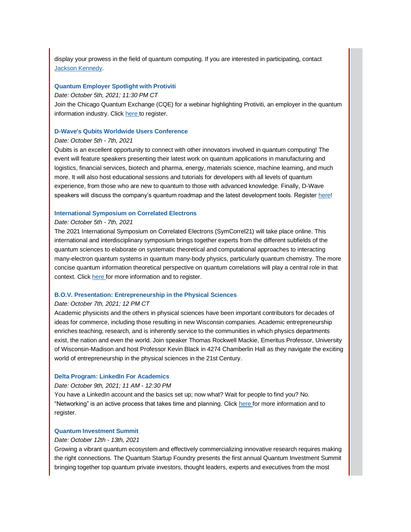display your prowess in the field of quantum computing. If you are interested in participating, contact [Jackson Kennedy.](mailto:jckennedy3@wisc.edu)

#### **[Quantum Employer Spotlight with Protiviti](https://app.explore.wisc.edu/e/er?s=1427524768&lid=22425&elqTrackId=BCB55A5E84BD2D26749F8F99B5B01D31&elq=e5c097ce953c440fae633427d87ed479&elqaid=20440&elqat=1)**

#### *Date: October 5th, 2021; 11:30 PM CT*

Join the Chicago Quantum Exchange (CQE) for a webinar highlighting Protiviti, an employer in the quantum information industry. Clic[k here t](https://app.explore.wisc.edu/e/er?s=1427524768&lid=22424&elqTrackId=700B5825F0D5824D3157B896211B8F27&elq=e5c097ce953c440fae633427d87ed479&elqaid=20440&elqat=1)o register.

# **[D-Wave's Qubits Worldwide Users Conference](https://app.explore.wisc.edu/e/er?s=1427524768&lid=22428&elqTrackId=F2DB0CCF0E893F9F8B5114E19C172A30&elq=e5c097ce953c440fae633427d87ed479&elqaid=20440&elqat=1)**

# *Date: October 5th - 7th, 2021*

Qubits is an excellent opportunity to connect with other innovators involved in quantum computing! The event will feature speakers presenting their latest work on quantum applications in manufacturing and logistics, financial services, biotech and pharma, energy, materials science, machine learning, and much more. It will also host educational sessions and tutorials for developers with all levels of quantum experience, from those who are new to quantum to those with advanced knowledge. Finally, D-Wave speakers will discuss the company's quantum roadmap and the latest development tools. Register [here!](https://app.explore.wisc.edu/e/er?s=1427524768&lid=22428&elqTrackId=0BECD2683D47EE01F1B031680C516405&elq=e5c097ce953c440fae633427d87ed479&elqaid=20440&elqat=1)

# **[International Symposium on Correlated Electrons](https://app.explore.wisc.edu/e/er?s=1427524768&lid=23313&elqTrackId=EB6BE760C6B0BD9E64B570A255B430F4&elq=e5c097ce953c440fae633427d87ed479&elqaid=20440&elqat=1)**

# *Date: October 5th - 7th, 2021*

The 2021 International Symposium on Correlated Electrons (SymCorrel21) will take place online. This international and interdisciplinary symposium brings together experts from the different subfields of the quantum sciences to elaborate on systematic theoretical and computational approaches to interacting many-electron quantum systems in quantum many-body physics, particularly quantum chemistry. The more concise quantum information theoretical perspective on quantum correlations will play a central role in that context. Click [here f](https://app.explore.wisc.edu/e/er?s=1427524768&lid=23313&elqTrackId=7B9115AF2078762F4DAFA74860334B53&elq=e5c097ce953c440fae633427d87ed479&elqaid=20440&elqat=1)or more information and to register.

# **[B.O.V. Presentation: Entrepreneurship in the Physical Sciences](https://app.explore.wisc.edu/e/er?s=1427524768&lid=22877&elqTrackId=721255B3D20CE2DAB05E49C2DE6AB801&elq=e5c097ce953c440fae633427d87ed479&elqaid=20440&elqat=1)**

### *Date: October 7th, 2021; 12 PM CT*

Academic physicists and the others in physical sciences have been important contributors for decades of ideas for commerce, including those resulting in new Wisconsin companies. Academic entrepreneurship enriches teaching, research, and is inherently service to the communities in which physics departments exist, the nation and even the world. Join speaker Thomas Rockwell Mackie, Emeritus Professor, University of Wisconsin-Madison and host Professor Kevin Black in 4274 Chamberlin Hall as they navigate the exciting world of entrepreneurship in the physical sciences in the 21st Century.

#### **[Delta Program: LinkedIn For Academics](https://app.explore.wisc.edu/e/er?s=1427524768&lid=23282&elqTrackId=23243F370E8F11CE11F82BA5562F4642&elq=e5c097ce953c440fae633427d87ed479&elqaid=20440&elqat=1)**

# *Date: October 9th, 2021; 11 AM - 12:30 PM*

You have a LinkedIn account and the basics set up; now what? Wait for people to find you? No. "Networking" is an active process that takes time and planning. Clic[k here f](https://app.explore.wisc.edu/e/er?s=1427524768&lid=23282&elqTrackId=49AD333A199A67139B41F1923FC27BEF&elq=e5c097ce953c440fae633427d87ed479&elqaid=20440&elqat=1)or more information and to register.

# **[Quantum Investment Summit](https://app.explore.wisc.edu/e/er?s=1427524768&lid=22427&elqTrackId=669B4E5089FF171F3C7DBBE8850DFBC2&elq=e5c097ce953c440fae633427d87ed479&elqaid=20440&elqat=1)**

#### *Date: October 12th - 13th, 2021*

Growing a vibrant quantum ecosystem and effectively commercializing innovative research requires making the right connections. The Quantum Startup Foundry presents the first annual Quantum Investment Summit bringing together top quantum private investors, thought leaders, experts and executives from the most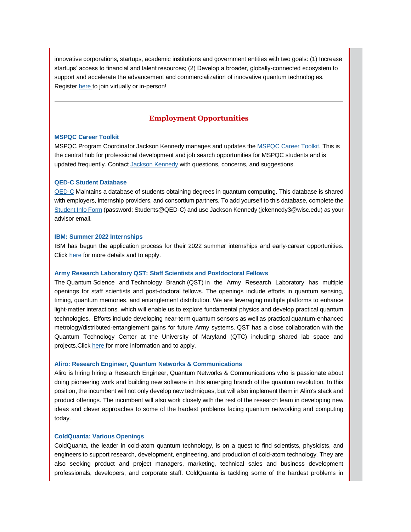innovative corporations, startups, academic institutions and government entities with two goals: (1) Increase startups' access to financial and talent resources; (2) Develop a broader, globally-connected ecosystem to support and accelerate the advancement and commercialization of innovative quantum technologies. Register [here t](https://app.explore.wisc.edu/e/er?s=1427524768&lid=22426&elqTrackId=8C809748C79F4B9CE046CB120D93F4F9&elq=e5c097ce953c440fae633427d87ed479&elqaid=20440&elqat=1)o join virtually or in-person!

# **Employment Opportunities**

# **[MSPQC Career Toolkit](https://app.explore.wisc.edu/e/er?s=1427524768&lid=16119&elqTrackId=5A49858D7B279578BB1B0FB51CEEA074&elq=e5c097ce953c440fae633427d87ed479&elqaid=20440&elqat=1)**

MSPQC Program Coordinator Jackson Kennedy manages and updates the [MSPQC Career Toolkit.](https://app.explore.wisc.edu/e/er?s=1427524768&lid=16119&elqTrackId=09D2E0C03CA2395C49E22DEC7C8591D3&elq=e5c097ce953c440fae633427d87ed479&elqaid=20440&elqat=1) This is the central hub for professional development and job search opportunities for MSPQC students and is updated frequently. Contact [Jackson Kennedy](mailto:jckennedy3@wisc.edu) with questions, concerns, and suggestions.

#### **[QED-C Student Database](https://app.explore.wisc.edu/e/er?s=1427524768&lid=16143&elqTrackId=3F91B3E99BC944A98E92AF38D30E52E3&elq=e5c097ce953c440fae633427d87ed479&elqaid=20440&elqat=1)**

[QED-C](https://app.explore.wisc.edu/e/er?s=1427524768&lid=16144&elqTrackId=A9AB285BA5BE3DC678F7230E21B22D08&elq=e5c097ce953c440fae633427d87ed479&elqaid=20440&elqat=1) Maintains a database of students obtaining degrees in quantum computing. This database is shared with employers, internship providers, and consortium partners. To add yourself to this database, complete the [Student Info Form](https://app.explore.wisc.edu/e/er?s=1427524768&lid=16143&elqTrackId=4394A173A56EFED3F138143AA6462B62&elq=e5c097ce953c440fae633427d87ed479&elqaid=20440&elqat=1) (password: Students@QED-C) and use Jackson Kennedy (jckennedy3@wisc.edu) as your advisor email.

# **[IBM: Summer 2022 Internships](https://app.explore.wisc.edu/e/er?s=1427524768&lid=22026&elqTrackId=4E52B7A6F34821916C970355D44A6E47&elq=e5c097ce953c440fae633427d87ed479&elqaid=20440&elqat=1)**

IBM has begun the application process for their 2022 summer internships and early-career opportunities. Click [here f](https://app.explore.wisc.edu/e/er?s=1427524768&lid=22026&elqTrackId=50933B0F80743DA915AF1772FEF1BDA8&elq=e5c097ce953c440fae633427d87ed479&elqaid=20440&elqat=1)or more details and to apply.

### **[Army Research Laboratory QST: Staff Scientists and Postdoctoral Fellows](https://app.explore.wisc.edu/e/er?s=1427524768&lid=23290&elqTrackId=D80E5426DFE4A7E5270CA20B013DC69E&elq=e5c097ce953c440fae633427d87ed479&elqaid=20440&elqat=1)**

The Quantum Science and Technology Branch (QST) in the Army Research Laboratory has multiple openings for staff scientists and post-doctoral fellows. The openings include efforts in quantum sensing, timing, quantum memories, and entanglement distribution. We are leveraging multiple platforms to enhance light-matter interactions, which will enable us to explore fundamental physics and develop practical quantum technologies. Efforts include developing near-term quantum sensors as well as practical quantum-enhanced metrology/distributed-entanglement gains for future Army systems. QST has a close collaboration with the Quantum Technology Center at the University of Maryland (QTC) including shared lab space and projects.Click [here f](https://app.explore.wisc.edu/e/er?s=1427524768&lid=23290&elqTrackId=1D1F309204138011A6BC43BF0EA7A97B&elq=e5c097ce953c440fae633427d87ed479&elqaid=20440&elqat=1)or more information and to apply.

#### **[Aliro: Research Engineer, Quantum Networks & Communications](https://app.explore.wisc.edu/e/er?s=1427524768&lid=22430&elqTrackId=0A52A3B2BC922F4C31492A41FF39D9EC&elq=e5c097ce953c440fae633427d87ed479&elqaid=20440&elqat=1)**

Aliro is hiring hiring a Research Engineer, Quantum Networks & Communications who is passionate about doing pioneering work and building new software in this emerging branch of the quantum revolution. In this position, the incumbent will not only develop new techniques, but will also implement them in Aliro's stack and product offerings. The incumbent will also work closely with the rest of the research team in developing new ideas and clever approaches to some of the hardest problems facing quantum networking and computing today.

### **[ColdQuanta: Various Openings](https://app.explore.wisc.edu/e/er?s=1427524768&lid=22429&elqTrackId=0DDBB99C4C3E655DB67A9EFB6C29BBB2&elq=e5c097ce953c440fae633427d87ed479&elqaid=20440&elqat=1)**

ColdQuanta, the leader in cold-atom quantum technology, is on a quest to find scientists, physicists, and engineers to support research, development, engineering, and production of cold-atom technology. They are also seeking product and project managers, marketing, technical sales and business development professionals, developers, and corporate staff. ColdQuanta is tackling some of the hardest problems in